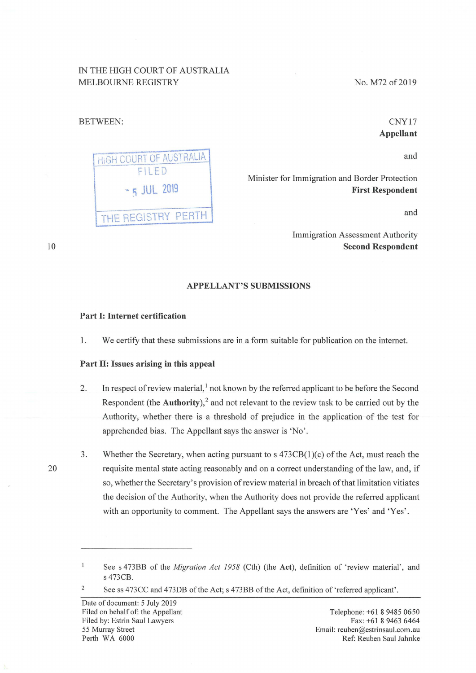# IN THE HIGH COURT OF AUSTRALIA MELBOURNE REGISTRY

### BETWEEN:

|               | HIGH COURT OF AUSTRALIA |  |
|---------------|-------------------------|--|
| FILED         |                         |  |
| $-5$ JUL 2019 |                         |  |
|               | THE REGISTRY PERTH      |  |

No. M72 of 2019

CNY17 **Appellant** 

and

Minister for Immigration and Border Protection **First Respondent** 

and

Immigration Assessment Authority **Second Respondent** 

#### **APPELLANT'S SUBMISSIONS**

### **Part** I: **Internet certification**

1. We certify that these submissions are in a form suitable for publication on the internet.

#### Part II: **Issues arising in this appeal**

- 2. In respect of review material,<sup>1</sup> not known by the referred applicant to be before the Second Respondent (the **Authority**), $^2$  and not relevant to the review task to be carried out by the Authority, whether there is a threshold of prejudice in the application of the test for apprehended bias. The Appellant says the answer is 'No'.
- 3. Whether the Secretary, when acting pursuant to s  $473CB(1)(c)$  of the Act, must reach the requisite mental state acting reasonably and on a correct understanding of the law, and, if so, whether the Secretary's provision of review material in breach of that limitation vitiates the decision of the Authority, when the Authority does not provide the referred applicant with an opportunity to comment. The Appellant says the answers are 'Yes' and 'Yes'.

20

2

10

 $\mathbf{1}$ See s 473BB of the *Migration Act 1958* (Cth) (the **Act),** definition of 'review material', and s 473CB.

See ss 473CC and 473DB of the Act; s 473BB of the Act, definition of 'referred applicant'.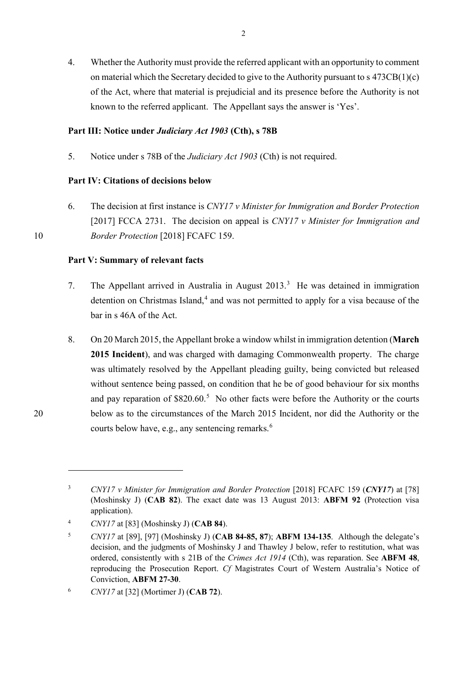4. Whether the Authority must provide the referred applicant with an opportunity to comment on material which the Secretary decided to give to the Authority pursuant to  $s\frac{473CB(1)(c)}{c}$ of the Act, where that material is prejudicial and its presence before the Authority is not known to the referred applicant. The Appellant says the answer is 'Yes'.

# **Part III: Notice under** *Judiciary Act 1903* **(Cth), s 78B**

5. Notice under s 78B of the *Judiciary Act 1903* (Cth) is not required.

# **Part IV: Citations of decisions below**

6. The decision at first instance is *CNY17 v Minister for Immigration and Border Protection* [2017] FCCA 2731. The decision on appeal is *CNY17 v Minister for Immigration and*  10 *Border Protection* [2018] FCAFC 159.

# **Part V: Summary of relevant facts**

- 7. The Appellant arrived in Australia in August  $2013.<sup>3</sup>$  $2013.<sup>3</sup>$  $2013.<sup>3</sup>$  He was detained in immigration detention on Christmas Island, $4$  and was not permitted to apply for a visa because of the bar in s 46A of the Act.
- 8. On 20 March 2015, the Appellant broke a window whilst in immigration detention (**March 2015 Incident**), and was charged with damaging Commonwealth property. The charge was ultimately resolved by the Appellant pleading guilty, being convicted but released without sentence being passed, on condition that he be of good behaviour for six months and pay reparation of  $$820.60$ <sup>[5](#page-1-2)</sup> No other facts were before the Authority or the courts 20 below as to the circumstances of the March 2015 Incident, nor did the Authority or the courts below have, e.g., any sentencing remarks. $6$

<span id="page-1-0"></span><sup>&</sup>lt;sup>3</sup> *CNY17 v Minister for Immigration and Border Protection* [2018] FCAFC 159 (*CNY17*) at [78] (Moshinsky J) (**CAB 82**). The exact date was 13 August 2013: **ABFM 92** (Protection visa application).

<span id="page-1-1"></span><sup>4</sup> *CNY17* at [83] (Moshinsky J) (**CAB 84**).

<span id="page-1-2"></span><sup>5</sup> *CNY17* at [89], [97] (Moshinsky J) (**CAB 84-85, 87**); **ABFM 134-135**. Although the delegate's decision, and the judgments of Moshinsky J and Thawley J below, refer to restitution, what was ordered, consistently with s 21B of the *Crimes Act 1914* (Cth), was reparation. See **ABFM 48**, reproducing the Prosecution Report. *Cf* Magistrates Court of Western Australia's Notice of Conviction, **ABFM 27-30**.

<span id="page-1-3"></span><sup>6</sup> *CNY17* at [32] (Mortimer J) (**CAB 72**).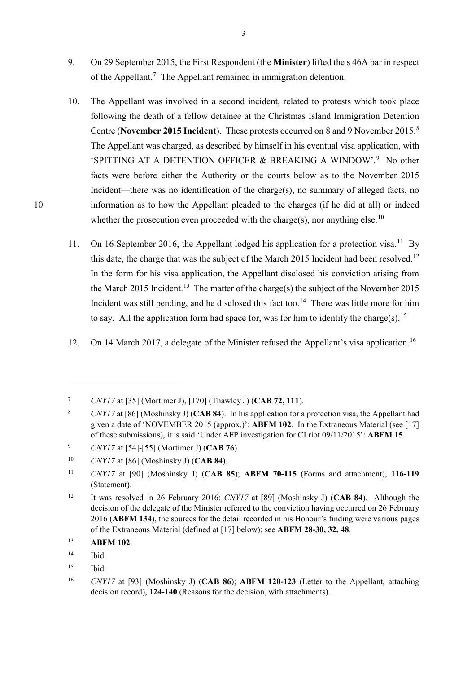- 9. On 29 September 2015, the First Respondent (the **Minister**) lifted the s 46A bar in respect of the Appellant.<sup>[7](#page-2-0)</sup> The Appellant remained in immigration detention.
- 10. The Appellant was involved in a second incident, related to protests which took place following the death of a fellow detainee at the Christmas Island Immigration Detention Centre (**November 2015 Incident**). These protests occurred on 8 and 9 November 2015.[8](#page-2-1) The Appellant was charged, as described by himself in his eventual visa application, with 'SPITTING AT A DETENTION OFFICER & BREAKING A WINDOW'.<sup>[9](#page-2-2)</sup> No other facts were before either the Authority or the courts below as to the November 2015 Incident—there was no identification of the charge(s), no summary of alleged facts, no 10 information as to how the Appellant pleaded to the charges (if he did at all) or indeed whether the prosecution even proceeded with the charge(s), nor anything else.<sup>[10](#page-2-3)</sup>
	- 11. On 16 September 2016, the Appellant lodged his application for a protection visa.<sup>11</sup> By this date, the charge that was the subject of the March 2015 Incident had been resolved.<sup>12</sup> In the form for his visa application, the Appellant disclosed his conviction arising from the March 2015 Incident.<sup>[13](#page-2-6)</sup> The matter of the charge(s) the subject of the November 2015 Incident was still pending, and he disclosed this fact too.<sup>14</sup> There was little more for him to say. All the application form had space for, was for him to identify the charge(s).<sup>[15](#page-2-8)</sup>
	- 12. On 14 March 2017, a delegate of the Minister refused the Appellant's visa application.<sup>16</sup>

1

<span id="page-2-0"></span><sup>7</sup> *CNY17* at [35] (Mortimer J), [170] (Thawley J) (**CAB 72, 111**).

<span id="page-2-1"></span><sup>8</sup> *CNY17* at [86] (Moshinsky J) (**CAB 84**). In his application for a protection visa, the Appellant had given a date of 'NOVEMBER 2015 (approx.)': **ABFM 102**. In the Extraneous Material (see [\[17\]](#page-4-0) of these submissions), it is said 'Under AFP investigation for CI riot 09/11/2015': **ABFM 15**.

<span id="page-2-2"></span><sup>9</sup> *CNY17* at [54]-[55] (Mortimer J) (**CAB 76**).

<span id="page-2-3"></span><sup>10</sup> *CNY17* at [86] (Moshinsky J) (**CAB 84**).

<span id="page-2-4"></span><sup>11</sup> *CNY17* at [90] (Moshinsky J) (**CAB 85**); **ABFM 70-115** (Forms and attachment), **116-119**  (Statement).

<span id="page-2-5"></span><sup>12</sup> It was resolved in 26 February 2016: *CNY17* at [89] (Moshinsky J) (**CAB 84**). Although the decision of the delegate of the Minister referred to the conviction having occurred on 26 February 2016 (**ABFM 134**), the sources for the detail recorded in his Honour's finding were various pages of the Extraneous Material (defined at [\[17\]](#page-4-0) below): see **ABFM 28-30, 32, 48**.

<span id="page-2-6"></span><sup>13</sup> **ABFM 102**.

<span id="page-2-7"></span><sup>14</sup> Ibid.

<span id="page-2-8"></span><sup>15</sup> Ibid.

<span id="page-2-9"></span><sup>16</sup> *CNY17* at [93] (Moshinsky J) (**CAB 86**); **ABFM 120-123** (Letter to the Appellant, attaching decision record), **124-140** (Reasons for the decision, with attachments).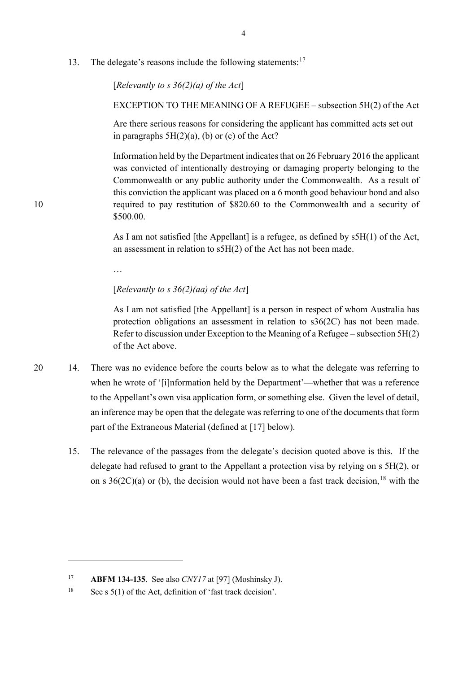13. The delegate's reasons include the following statements:<sup>[17](#page-3-0)</sup>

[*Relevantly to s 36(2)(a) of the Act*]

EXCEPTION TO THE MEANING OF A REFUGEE – subsection 5H(2) of the Act

Are there serious reasons for considering the applicant has committed acts set out in paragraphs  $5H(2)(a)$ , (b) or (c) of the Act?

Information held by the Department indicates that on 26 February 2016 the applicant was convicted of intentionally destroying or damaging property belonging to the Commonwealth or any public authority under the Commonwealth. As a result of this conviction the applicant was placed on a 6 month good behaviour bond and also 10 required to pay restitution of \$820.60 to the Commonwealth and a security of \$500.00.

> As I am not satisfied [the Appellant] is a refugee, as defined by s5H(1) of the Act, an assessment in relation to s5H(2) of the Act has not been made.

…

-

## [*Relevantly to s 36(2)(aa) of the Act*]

As I am not satisfied [the Appellant] is a person in respect of whom Australia has protection obligations an assessment in relation to s36(2C) has not been made. Refer to discussion under Exception to the Meaning of a Refugee – subsection 5H(2) of the Act above.

- 20 14. There was no evidence before the courts below as to what the delegate was referring to when he wrote of '[i]nformation held by the Department'—whether that was a reference to the Appellant's own visa application form, or something else. Given the level of detail, an inference may be open that the delegate was referring to one of the documents that form part of the Extraneous Material (defined at [\[17\]](#page-4-0) below).
	- 15. The relevance of the passages from the delegate's decision quoted above is this. If the delegate had refused to grant to the Appellant a protection visa by relying on s 5H(2), or on s  $36(2C)(a)$  or (b), the decision would not have been a fast track decision, <sup>[18](#page-3-1)</sup> with the

<span id="page-3-0"></span><sup>17</sup> **ABFM 134-135**.See also *CNY17* at [97] (Moshinsky J).

<span id="page-3-1"></span><sup>&</sup>lt;sup>18</sup> See s  $5(1)$  of the Act, definition of 'fast track decision'.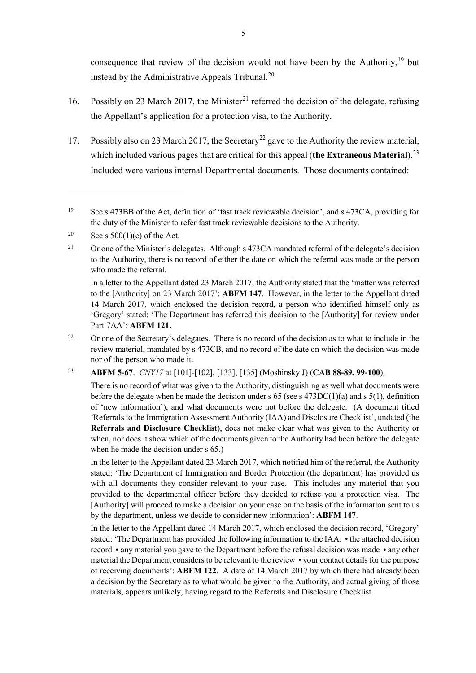<span id="page-4-7"></span><span id="page-4-6"></span>consequence that review of the decision would not have been by the Authority,<sup>[19](#page-4-1)</sup> but instead by the Administrative Appeals Tribunal. [20](#page-4-2)

- 16. Possibly on 23 March 2017, the Minister<sup>[21](#page-4-3)</sup> referred the decision of the delegate, refusing the Appellant's application for a protection visa, to the Authority.
- <span id="page-4-0"></span>17. Possibly also on 23 March 2017, the Secretary<sup>[22](#page-4-4)</sup> gave to the Authority the review material, which included various pages that are critical for this appeal (the Extraneous Material).<sup>23</sup> Included were various internal Departmental documents. Those documents contained:

1

In a letter to the Appellant dated 23 March 2017, the Authority stated that the 'matter was referred to the [Authority] on 23 March 2017': **ABFM 147**. However, in the letter to the Appellant dated 14 March 2017, which enclosed the decision record, a person who identified himself only as 'Gregory' stated: 'The Department has referred this decision to the [Authority] for review under Part 7AA': **ABFM 121.**

<span id="page-4-4"></span><sup>22</sup> Or one of the Secretary's delegates. There is no record of the decision as to what to include in the review material, mandated by s 473CB, and no record of the date on which the decision was made nor of the person who made it.

<span id="page-4-5"></span><sup>23</sup> **ABFM 5-67**. *CNY17* at [101]-[102], [133], [135] (Moshinsky J) (**CAB 88-89, 99-100**).

There is no record of what was given to the Authority, distinguishing as well what documents were before the delegate when he made the decision under s 65 (see s  $473DC(1)(a)$  and s  $5(1)$ , definition of 'new information'), and what documents were not before the delegate. (A document titled 'Referrals to the Immigration Assessment Authority (IAA) and Disclosure Checklist', undated (the **Referrals and Disclosure Checklist**), does not make clear what was given to the Authority or when, nor does it show which of the documents given to the Authority had been before the delegate when he made the decision under s 65.)

In the letter to the Appellant dated 23 March 2017, which notified him of the referral, the Authority stated: 'The Department of Immigration and Border Protection (the department) has provided us with all documents they consider relevant to your case. This includes any material that you provided to the departmental officer before they decided to refuse you a protection visa. The [Authority] will proceed to make a decision on your case on the basis of the information sent to us by the department, unless we decide to consider new information': **ABFM 147**.

In the letter to the Appellant dated 14 March 2017, which enclosed the decision record, 'Gregory' stated: 'The Department has provided the following information to the IAA: • the attached decision record • any material you gave to the Department before the refusal decision was made • any other material the Department considers to be relevant to the review • your contact details for the purpose of receiving documents': **ABFM 122**. A date of 14 March 2017 by which there had already been a decision by the Secretary as to what would be given to the Authority, and actual giving of those materials, appears unlikely, having regard to the Referrals and Disclosure Checklist.

<span id="page-4-1"></span><sup>&</sup>lt;sup>19</sup> See s 473BB of the Act, definition of 'fast track reviewable decision', and s 473CA, providing for the duty of the Minister to refer fast track reviewable decisions to the Authority.

<span id="page-4-2"></span><sup>&</sup>lt;sup>20</sup> See s  $500(1)(c)$  of the Act.

<span id="page-4-3"></span><sup>&</sup>lt;sup>21</sup> Or one of the Minister's delegates. Although s 473CA mandated referral of the delegate's decision to the Authority, there is no record of either the date on which the referral was made or the person who made the referral.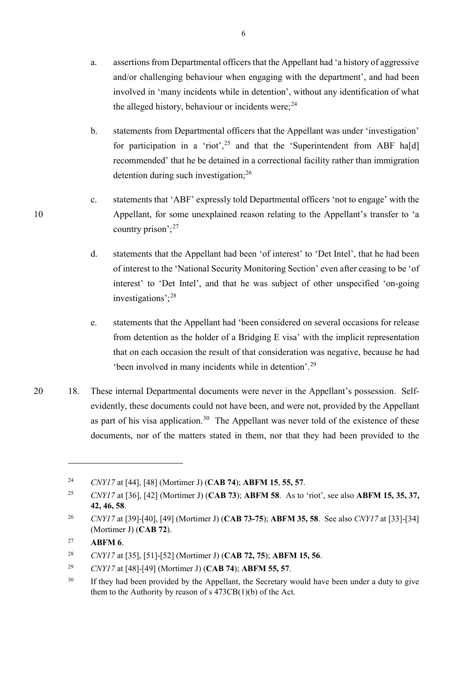- a. assertions from Departmental officers that the Appellant had 'a history of aggressive and/or challenging behaviour when engaging with the department', and had been involved in 'many incidents while in detention', without any identification of what the alleged history, behaviour or incidents were;  $24$
- b. statements from Departmental officers that the Appellant was under 'investigation' for participation in a 'riot',<sup>[25](#page-5-1)</sup> and that the 'Superintendent from ABF ha[d] recommended' that he be detained in a correctional facility rather than immigration detention during such investigation; $^{26}$  $^{26}$  $^{26}$
- c. statements that 'ABF' expressly told Departmental officers 'not to engage' with the 10 Appellant, for some unexplained reason relating to the Appellant's transfer to 'a country prison';  $27$ 
	- d. statements that the Appellant had been 'of interest' to 'Det Intel', that he had been of interest to the 'National Security Monitoring Section' even after ceasing to be 'of interest' to 'Det Intel', and that he was subject of other unspecified 'on-going investigations';[28](#page-5-4)
	- e. statements that the Appellant had 'been considered on several occasions for release from detention as the holder of a Bridging E visa' with the implicit representation that on each occasion the result of that consideration was negative, because he had 'been involved in many incidents while in detention'. [29](#page-5-5)
- 20 18. These internal Departmental documents were never in the Appellant's possession. Selfevidently, these documents could not have been, and were not, provided by the Appellant as part of his visa application.<sup>30</sup> The Appellant was never told of the existence of these documents, nor of the matters stated in them, nor that they had been provided to the

<span id="page-5-0"></span><sup>24</sup> *CNY17* at [44], [48] (Mortimer J) (**CAB 74**); **ABFM 15**, **55, 57**.

<span id="page-5-1"></span><sup>25</sup> *CNY17* at [36], [42] (Mortimer J) (**CAB 73**); **ABFM 58**. As to 'riot', see also **ABFM 15, 35, 37, 42, 46, 58**.

<span id="page-5-2"></span><sup>26</sup> *CNY17* at [39]-[40], [49] (Mortimer J) (**CAB 73-75**); **ABFM 35, 58**. See also *CNY17* at [33]-[34] (Mortimer J) (**CAB 72**).

<span id="page-5-3"></span><sup>27</sup> **ABFM 6**.

<span id="page-5-4"></span><sup>28</sup> *CNY17* at [35], [51]-[52] (Mortimer J) (**CAB 72, 75**); **ABFM 15, 56**.

<span id="page-5-5"></span><sup>29</sup> *CNY17* at [48]-[49] (Mortimer J) (**CAB 74**); **ABFM 55, 57**.

<span id="page-5-6"></span><sup>&</sup>lt;sup>30</sup> If they had been provided by the Appellant, the Secretary would have been under a duty to give them to the Authority by reason of s  $473CB(1)(b)$  of the Act.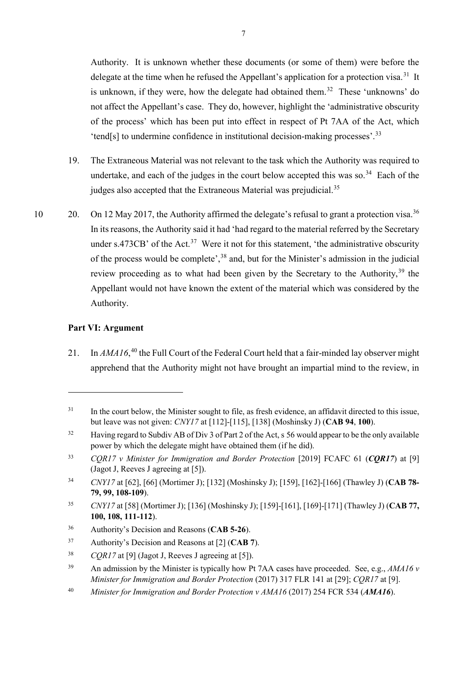<span id="page-6-10"></span>Authority. It is unknown whether these documents (or some of them) were before the delegate at the time when he refused the Appellant's application for a protection visa.<sup>[31](#page-6-0)</sup> It is unknown, if they were, how the delegate had obtained them. [32](#page-6-1) These 'unknowns' do not affect the Appellant's case. They do, however, highlight the 'administrative obscurity of the process' which has been put into effect in respect of Pt 7AA of the Act, which 'tend[s] to undermine confidence in institutional decision-making processes'. [33](#page-6-2)

- 19. The Extraneous Material was not relevant to the task which the Authority was required to undertake, and each of the judges in the court below accepted this was so.<sup>[34](#page-6-3)</sup> Each of the judges also accepted that the Extraneous Material was prejudicial.<sup>[35](#page-6-4)</sup>
- 10 20. On 12 May 2017, the Authority affirmed the delegate's refusal to grant a protection visa.<sup>[36](#page-6-5)</sup> In its reasons, the Authority said it had 'had regard to the material referred by the Secretary under s.473CB' of the Act.<sup>[37](#page-6-6)</sup> Were it not for this statement, 'the administrative obscurity of the process would be complete',<sup>[38](#page-6-7)</sup> and, but for the Minister's admission in the judicial review proceeding as to what had been given by the Secretary to the Authority,<sup>[39](#page-6-8)</sup> the Appellant would not have known the extent of the material which was considered by the Authority.

# **Part VI: Argument**

-

21. In *AMA16*,<sup>[40](#page-6-9)</sup> the Full Court of the Federal Court held that a fair-minded lay observer might apprehend that the Authority might not have brought an impartial mind to the review, in

<span id="page-6-0"></span><sup>&</sup>lt;sup>31</sup> In the court below, the Minister sought to file, as fresh evidence, an affidavit directed to this issue, but leave was not given: *CNY17* at [112]-[115], [138] (Moshinsky J) (**CAB 94**, **100**).

<span id="page-6-1"></span><sup>&</sup>lt;sup>32</sup> Having regard to Subdiv AB of Div 3 of Part 2 of the Act, s 56 would appear to be the only available power by which the delegate might have obtained them (if he did).

<span id="page-6-2"></span><sup>33</sup> *CQR17 v Minister for Immigration and Border Protection* [2019] FCAFC 61 (*CQR17*) at [9] (Jagot J, Reeves J agreeing at [5]).

<span id="page-6-3"></span><sup>34</sup> *CNY17* at [62], [66] (Mortimer J); [132] (Moshinsky J); [159], [162]-[166] (Thawley J) (**CAB 78- 79, 99, 108-109**).

<span id="page-6-4"></span><sup>35</sup> *CNY17* at [58] (Mortimer J); [136] (Moshinsky J); [159]-[161], [169]-[171] (Thawley J) (**CAB 77, 100, 108, 111-112**).

<span id="page-6-5"></span><sup>36</sup> Authority's Decision and Reasons (**CAB 5-26**).

<span id="page-6-6"></span><sup>37</sup> Authority's Decision and Reasons at [2] (**CAB 7**).

<span id="page-6-7"></span><sup>38</sup> *CQR17* at [9] (Jagot J, Reeves J agreeing at [5]).

<span id="page-6-8"></span><sup>39</sup> An admission by the Minister is typically how Pt 7AA cases have proceeded. See, e.g., *AMA16 v Minister for Immigration and Border Protection* (2017) 317 FLR 141 at [29]; *CQR17* at [9].

<span id="page-6-9"></span><sup>40</sup> *Minister for Immigration and Border Protection v AMA16* (2017) 254 FCR 534 (*AMA16*).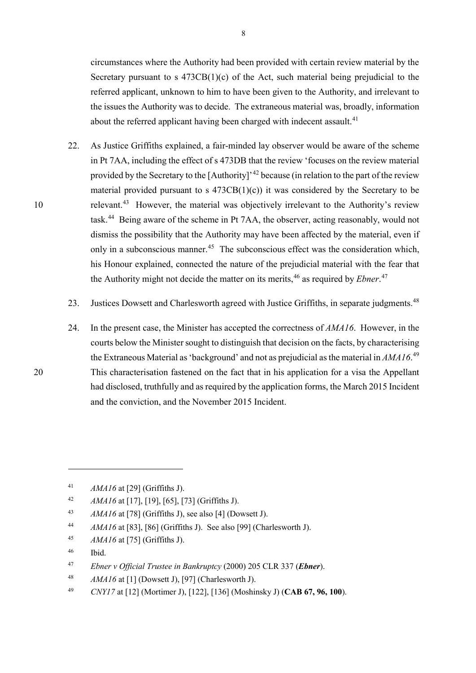circumstances where the Authority had been provided with certain review material by the Secretary pursuant to s  $473CB(1)(c)$  of the Act, such material being prejudicial to the referred applicant, unknown to him to have been given to the Authority, and irrelevant to the issues the Authority was to decide. The extraneous material was, broadly, information about the referred applicant having been charged with indecent assault.<sup>[41](#page-7-0)</sup>

- 22. As Justice Griffiths explained, a fair-minded lay observer would be aware of the scheme in Pt 7AA, including the effect of s 473DB that the review 'focuses on the review material provided by the Secretary to the [Authority]<sup>, [42](#page-7-1)</sup> because (in relation to the part of the review material provided pursuant to s  $473CB(1)(c)$  it was considered by the Secretary to be 10 relevant.<sup>[43](#page-7-2)</sup> However, the material was objectively irrelevant to the Authority's review task.<sup>[44](#page-7-3)</sup> Being aware of the scheme in Pt 7AA, the observer, acting reasonably, would not dismiss the possibility that the Authority may have been affected by the material, even if only in a subconscious manner.<sup>[45](#page-7-4)</sup> The subconscious effect was the consideration which, his Honour explained, connected the nature of the prejudicial material with the fear that the Authority might not decide the matter on its merits,<sup>[46](#page-7-5)</sup> as required by *Ebner*.<sup>[47](#page-7-6)</sup>
	- 23. Justices Dowsett and Charlesworth agreed with Justice Griffiths, in separate judgments.<sup>[48](#page-7-7)</sup>
- 24. In the present case, the Minister has accepted the correctness of *AMA16*. However, in the courts below the Minister sought to distinguish that decision on the facts, by characterising the Extraneous Material as 'background' and not as prejudicial as the material in *AMA16*. [49](#page-7-8)  20 This characterisation fastened on the fact that in his application for a visa the Appellant had disclosed, truthfully and as required by the application forms, the March 2015 Incident and the conviction, and the November 2015 Incident.

<span id="page-7-0"></span><sup>41</sup> *AMA16* at [29] (Griffiths J).

<span id="page-7-1"></span><sup>42</sup> *AMA16* at [17], [19], [65], [73] (Griffiths J).

<span id="page-7-2"></span><sup>43</sup> *AMA16* at [78] (Griffiths J), see also [4] (Dowsett J).

<span id="page-7-3"></span><sup>44</sup> *AMA16* at [83], [86] (Griffiths J). See also [99] (Charlesworth J).

<span id="page-7-4"></span><sup>45</sup> *AMA16* at [75] (Griffiths J).

<span id="page-7-5"></span><sup>46</sup> Ibid.

<span id="page-7-6"></span><sup>47</sup> *Ebner v Official Trustee in Bankruptcy* (2000) 205 CLR 337 (*Ebner*).

<span id="page-7-7"></span><sup>48</sup> *AMA16* at [1] (Dowsett J), [97] (Charlesworth J).

<span id="page-7-8"></span><sup>49</sup> *CNY17* at [12] (Mortimer J), [122], [136] (Moshinsky J) (**CAB 67, 96, 100**).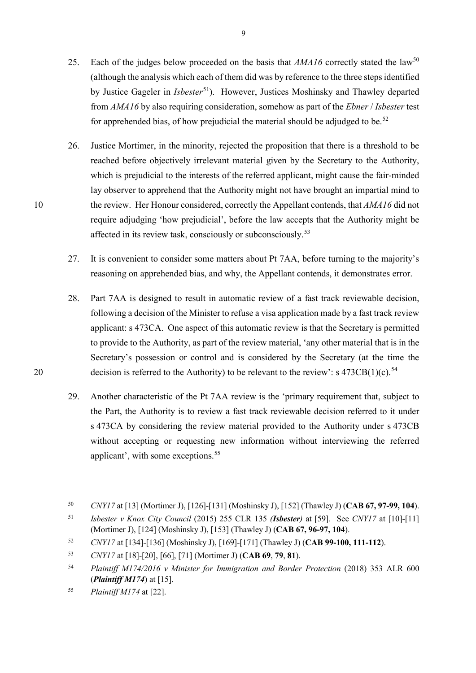- 25. Each of the judges below proceeded on the basis that *AMA16* correctly stated the law<sup>[50](#page-8-0)</sup> (although the analysis which each of them did was by reference to the three steps identified by Justice Gageler in *Isbester*<sup>51</sup>). However, Justices Moshinsky and Thawley departed from *AMA16* by also requiring consideration, somehow as part of the *Ebner* / *Isbester* test for apprehended bias, of how prejudicial the material should be adjudged to be.<sup>[52](#page-8-2)</sup>
- 26. Justice Mortimer, in the minority, rejected the proposition that there is a threshold to be reached before objectively irrelevant material given by the Secretary to the Authority, which is prejudicial to the interests of the referred applicant, might cause the fair-minded lay observer to apprehend that the Authority might not have brought an impartial mind to 10 the review. Her Honour considered, correctly the Appellant contends, that *AMA16* did not require adjudging 'how prejudicial', before the law accepts that the Authority might be affected in its review task, consciously or subconsciously.<sup>[53](#page-8-3)</sup>
	- 27. It is convenient to consider some matters about Pt 7AA, before turning to the majority's reasoning on apprehended bias, and why, the Appellant contends, it demonstrates error.
- 28. Part 7AA is designed to result in automatic review of a fast track reviewable decision, following a decision of the Minister to refuse a visa application made by a fast track review applicant: s 473CA. One aspect of this automatic review is that the Secretary is permitted to provide to the Authority, as part of the review material, 'any other material that is in the Secretary's possession or control and is considered by the Secretary (at the time the 20 decision is referred to the Authority) to be relevant to the review':  $s\ 473CB(1)(c)$ .<sup>[54](#page-8-4)</sup>
	- 29. Another characteristic of the Pt 7AA review is the 'primary requirement that, subject to the Part, the Authority is to review a fast track reviewable decision referred to it under s 473CA by considering the review material provided to the Authority under s 473CB without accepting or requesting new information without interviewing the referred applicant', with some exceptions.<sup>[55](#page-8-5)</sup>

<span id="page-8-0"></span><sup>50</sup> *CNY17* at [13] (Mortimer J), [126]-[131] (Moshinsky J), [152] (Thawley J) (**CAB 67, 97-99, 104**).

<span id="page-8-1"></span><sup>51</sup> *Isbester v Knox City Council* (2015) 255 CLR 135 *(Isbester)* at [59]*.* See *CNY17* at [10]-[11] (Mortimer J), [124] (Moshinsky J), [153] (Thawley J) (**CAB 67, 96-97, 104**).

<span id="page-8-2"></span><sup>52</sup> *CNY17* at [134]-[136] (Moshinsky J), [169]-[171] (Thawley J) (**CAB 99-100, 111-112**).

<span id="page-8-3"></span><sup>53</sup> *CNY17* at [18]-[20], [66], [71] (Mortimer J) (**CAB 69**, **79**, **81**).

<span id="page-8-4"></span><sup>54</sup> *Plaintiff M174/2016 v Minister for Immigration and Border Protection* (2018) 353 ALR 600 (*Plaintiff M174*) at [15].

<span id="page-8-5"></span><sup>55</sup> *Plaintiff M174* at [22].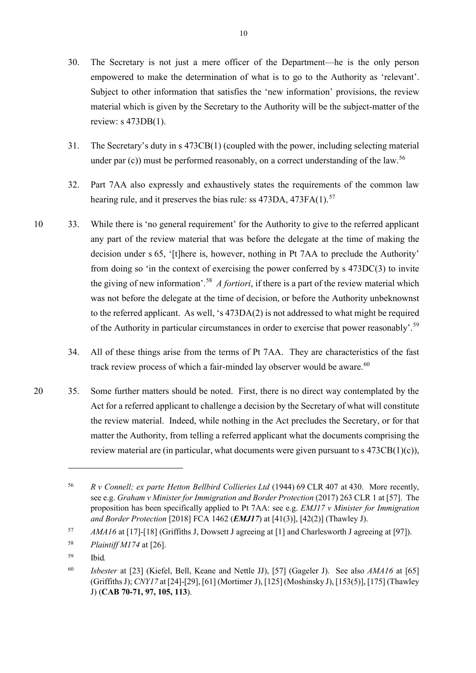- 30. The Secretary is not just a mere officer of the Department—he is the only person empowered to make the determination of what is to go to the Authority as 'relevant'. Subject to other information that satisfies the 'new information' provisions, the review material which is given by the Secretary to the Authority will be the subject-matter of the review: s 473DB(1).
- 31. The Secretary's duty in s 473CB(1) (coupled with the power, including selecting material under par  $(c)$ ) must be performed reasonably, on a correct understanding of the law.<sup>[56](#page-9-0)</sup>
- 32. Part 7AA also expressly and exhaustively states the requirements of the common law hearing rule, and it preserves the bias rule: ss 473DA, 473FA(1).<sup>[57](#page-9-1)</sup>
- 10 33. While there is 'no general requirement' for the Authority to give to the referred applicant any part of the review material that was before the delegate at the time of making the decision under s 65, '[t]here is, however, nothing in Pt 7AA to preclude the Authority' from doing so 'in the context of exercising the power conferred by s 473DC(3) to invite the giving of new information'.[58](#page-9-2) *A fortiori*, if there is a part of the review material which was not before the delegate at the time of decision, or before the Authority unbeknownst to the referred applicant. As well, 's 473DA(2) is not addressed to what might be required of the Authority in particular circumstances in order to exercise that power reasonably'.<sup>59</sup>
	- 34. All of these things arise from the terms of Pt 7AA. They are characteristics of the fast track review process of which a fair-minded lay observer would be aware. $60$
- 20 35. Some further matters should be noted. First, there is no direct way contemplated by the Act for a referred applicant to challenge a decision by the Secretary of what will constitute the review material. Indeed, while nothing in the Act precludes the Secretary, or for that matter the Authority, from telling a referred applicant what the documents comprising the review material are (in particular, what documents were given pursuant to  $s$  473CB(1)(c)),

<span id="page-9-0"></span><sup>56</sup> *R v Connell; ex parte Hetton Bellbird Collieries Ltd* (1944) 69 CLR 407 at 430. More recently, see e.g. *Graham v Minister for Immigration and Border Protection* (2017) 263 CLR 1 at [57]. The proposition has been specifically applied to Pt 7AA: see e.g. *EMJ17 v Minister for Immigration and Border Protection* [2018] FCA 1462 (*EMJ17*) at [41(3)], [42(2)] (Thawley J).

<span id="page-9-1"></span><sup>57</sup> *AMA16* at [17]-[18] (Griffiths J, Dowsett J agreeing at [1] and Charlesworth J agreeing at [97]).

<span id="page-9-2"></span><sup>58</sup> *Plaintiff M174* at [26].

<span id="page-9-3"></span><sup>59</sup> Ibid*.*

<span id="page-9-4"></span><sup>60</sup> *Isbester* at [23] (Kiefel, Bell, Keane and Nettle JJ), [57] (Gageler J). See also *AMA16* at [65] (Griffiths J); *CNY17* at [24]-[29], [61] (Mortimer J), [125] (Moshinsky J), [153(5)], [175] (Thawley J) (**CAB 70-71, 97, 105, 113**).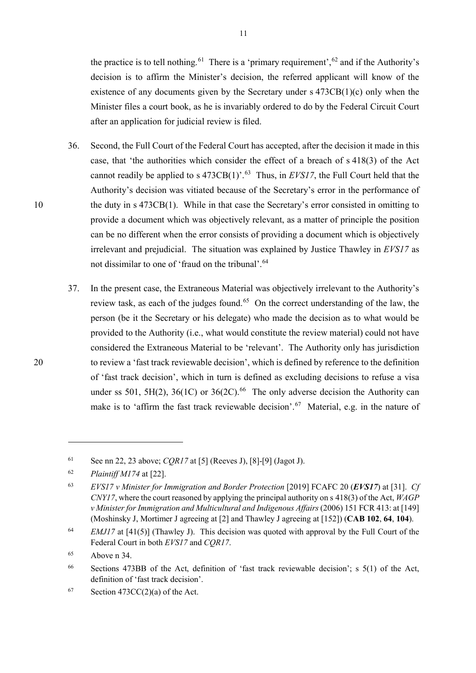the practice is to tell nothing.<sup>[61](#page-10-0)</sup> There is a 'primary requirement',  $62$  and if the Authority's decision is to affirm the Minister's decision, the referred applicant will know of the existence of any documents given by the Secretary under s 473CB(1)(c) only when the Minister files a court book, as he is invariably ordered to do by the Federal Circuit Court after an application for judicial review is filed.

- 36. Second, the Full Court of the Federal Court has accepted, after the decision it made in this case, that 'the authorities which consider the effect of a breach of s 418(3) of the Act cannot readily be applied to s  $473CB(1)$ <sup>[63](#page-10-2)</sup>. Thus, in *EVS17*, the Full Court held that the Authority's decision was vitiated because of the Secretary's error in the performance of 10 the duty in s 473CB(1). While in that case the Secretary's error consisted in omitting to provide a document which was objectively relevant, as a matter of principle the position can be no different when the error consists of providing a document which is objectively irrelevant and prejudicial. The situation was explained by Justice Thawley in *EVS17* as not dissimilar to one of 'fraud on the tribunal'.<sup>64</sup>
- 37. In the present case, the Extraneous Material was objectively irrelevant to the Authority's review task, as each of the judges found.<sup>[65](#page-10-4)</sup> On the correct understanding of the law, the person (be it the Secretary or his delegate) who made the decision as to what would be provided to the Authority (i.e., what would constitute the review material) could not have considered the Extraneous Material to be 'relevant'. The Authority only has jurisdiction 20 to review a 'fast track reviewable decision', which is defined by reference to the definition of 'fast track decision', which in turn is defined as excluding decisions to refuse a visa under ss 501, 5H(2), 36(1C) or 36(2C).<sup>66</sup> The only adverse decision the Authority can make is to 'affirm the fast track reviewable decision'.<sup>67</sup> Material, e.g. in the nature of

<span id="page-10-0"></span><sup>61</sup> See nn [22,](#page-4-6) [23](#page-4-7) above; *CQR17* at [5] (Reeves J), [8]-[9] (Jagot J).

<span id="page-10-1"></span><sup>62</sup> *Plaintiff M174* at [22].

<span id="page-10-2"></span><sup>63</sup> *EVS17 v Minister for Immigration and Border Protection* [2019] FCAFC 20 (*EVS17*) at [31]. *Cf CNY17*, where the court reasoned by applying the principal authority on s 418(3) of the Act, *WAGP v Minister for Immigration and Multicultural and Indigenous Affairs* (2006) 151 FCR 413: at [149] (Moshinsky J, Mortimer J agreeing at [2] and Thawley J agreeing at [152]) (**CAB 102**, **64**, **104**).

<span id="page-10-3"></span><sup>64</sup> *EMJ17* at [41(5)] (Thawley J). This decision was quoted with approval by the Full Court of the Federal Court in both *EVS17* and *CQR17*.

<span id="page-10-4"></span><sup>65</sup> Above n [34.](#page-6-10)

<span id="page-10-5"></span><sup>66</sup> Sections 473BB of the Act, definition of 'fast track reviewable decision'; s 5(1) of the Act, definition of 'fast track decision'.

<span id="page-10-6"></span><sup>67</sup> Section 473CC(2)(a) of the Act.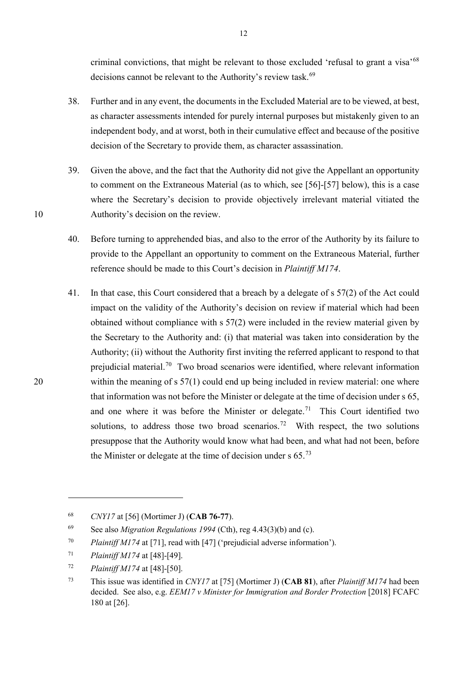criminal convictions, that might be relevant to those excluded 'refusal to grant a visa'[68](#page-11-0) decisions cannot be relevant to the Authority's review task. [69](#page-11-1) 

- 38. Further and in any event, the documents in the Excluded Material are to be viewed, at best, as character assessments intended for purely internal purposes but mistakenly given to an independent body, and at worst, both in their cumulative effect and because of the positive decision of the Secretary to provide them, as character assassination.
- 39. Given the above, and the fact that the Authority did not give the Appellant an opportunity to comment on the Extraneous Material (as to which, see [\[56\]](#page-15-0)-[\[57\]](#page-15-1) below), this is a case where the Secretary's decision to provide objectively irrelevant material vitiated the 10 Authority's decision on the review.
	- 40. Before turning to apprehended bias, and also to the error of the Authority by its failure to provide to the Appellant an opportunity to comment on the Extraneous Material, further reference should be made to this Court's decision in *Plaintiff M174*.
- 41. In that case, this Court considered that a breach by a delegate of s 57(2) of the Act could impact on the validity of the Authority's decision on review if material which had been obtained without compliance with s 57(2) were included in the review material given by the Secretary to the Authority and: (i) that material was taken into consideration by the Authority; (ii) without the Authority first inviting the referred applicant to respond to that prejudicial material.<sup>70</sup> Two broad scenarios were identified, where relevant information 20 within the meaning of s 57(1) could end up being included in review material: one where that information was not before the Minister or delegate at the time of decision under s 65, and one where it was before the Minister or delegate.<sup>[71](#page-11-3)</sup> This Court identified two solutions, to address those two broad scenarios.<sup>[72](#page-11-4)</sup> With respect, the two solutions presuppose that the Authority would know what had been, and what had not been, before the Minister or delegate at the time of decision under  $s$  65.<sup>[73](#page-11-5)</sup>

<span id="page-11-0"></span><sup>68</sup> *CNY17* at [56] (Mortimer J) (**CAB 76-77**).

<span id="page-11-1"></span><sup>69</sup> See also *Migration Regulations 1994* (Cth), reg 4.43(3)(b) and (c).

<span id="page-11-2"></span><sup>70</sup> *Plaintiff M174* at [71], read with [47] ('prejudicial adverse information').

<span id="page-11-3"></span><sup>71</sup> *Plaintiff M174* at [48]-[49].

<span id="page-11-4"></span><sup>72</sup> *Plaintiff M174* at [48]-[50].

<span id="page-11-5"></span><sup>73</sup> This issue was identified in *CNY17* at [75] (Mortimer J) (**CAB 81**), after *Plaintiff M174* had been decided. See also, e.g. *EEM17 v Minister for Immigration and Border Protection* [2018] FCAFC 180 at [26].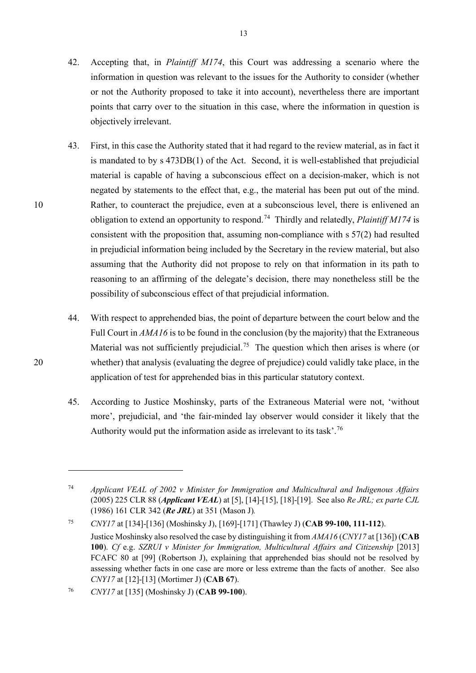- 42. Accepting that, in *Plaintiff M174*, this Court was addressing a scenario where the information in question was relevant to the issues for the Authority to consider (whether or not the Authority proposed to take it into account), nevertheless there are important points that carry over to the situation in this case, where the information in question is objectively irrelevant.
- 43. First, in this case the Authority stated that it had regard to the review material, as in fact it is mandated to by s 473DB(1) of the Act. Second, it is well-established that prejudicial material is capable of having a subconscious effect on a decision-maker, which is not negated by statements to the effect that, e.g., the material has been put out of the mind. 10 Rather, to counteract the prejudice, even at a subconscious level, there is enlivened an obligation to extend an opportunity to respond. [74](#page-12-0) Thirdly and relatedly, *Plaintiff M174* is consistent with the proposition that, assuming non-compliance with s 57(2) had resulted in prejudicial information being included by the Secretary in the review material, but also assuming that the Authority did not propose to rely on that information in its path to reasoning to an affirming of the delegate's decision, there may nonetheless still be the possibility of subconscious effect of that prejudicial information.
- 44. With respect to apprehended bias, the point of departure between the court below and the Full Court in *AMA16* is to be found in the conclusion (by the majority) that the Extraneous Material was not sufficiently prejudicial.<sup>[75](#page-12-1)</sup> The question which then arises is where (or 20 whether) that analysis (evaluating the degree of prejudice) could validly take place, in the application of test for apprehended bias in this particular statutory context.
	- 45. According to Justice Moshinsky, parts of the Extraneous Material were not, 'without more', prejudicial, and 'the fair-minded lay observer would consider it likely that the Authority would put the information aside as irrelevant to its task'.<sup>[76](#page-12-2)</sup>

<span id="page-12-0"></span><sup>74</sup> *Applicant VEAL of 2002 v Minister for Immigration and Multicultural and Indigenous Affairs*  (2005) 225 CLR 88 (*Applicant VEAL*) at [5], [14]-[15], [18]-[19]. See also *Re JRL; ex parte CJL* (1986) 161 CLR 342 (*Re JRL*) at 351 (Mason J)*.*

<span id="page-12-1"></span><sup>75</sup> *CNY17* at [134]-[136] (Moshinsky J), [169]-[171] (Thawley J) (**CAB 99-100, 111-112**). Justice Moshinsky also resolved the case by distinguishing it from *AMA16* (*CNY17* at [136]) (**CAB 100**). *Cf* e.g. *SZRUI v Minister for Immigration, Multicultural Affairs and Citizenship* [2013] FCAFC 80 at [99] (Robertson J), explaining that apprehended bias should not be resolved by assessing whether facts in one case are more or less extreme than the facts of another. See also *CNY17* at [12]-[13] (Mortimer J) (**CAB 67**).

<span id="page-12-2"></span><sup>76</sup> *CNY17* at [135] (Moshinsky J) (**CAB 99-100**).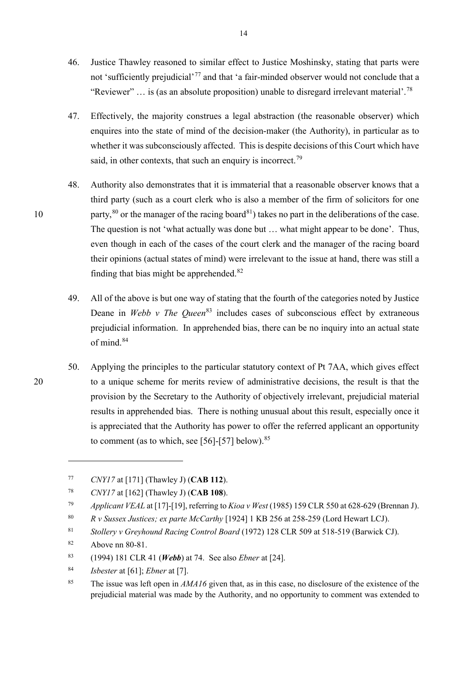- 46. Justice Thawley reasoned to similar effect to Justice Moshinsky, stating that parts were not 'sufficiently prejudicial'<sup>[77](#page-13-2)</sup> and that 'a fair-minded observer would not conclude that a "Reviewer" ... is (as an absolute proposition) unable to disregard irrelevant material'.<sup>[78](#page-13-3)</sup>
- <span id="page-13-1"></span>47. Effectively, the majority construes a legal abstraction (the reasonable observer) which enquires into the state of mind of the decision-maker (the Authority), in particular as to whether it was subconsciously affected. This is despite decisions of this Court which have said, in other contexts, that such an enquiry is incorrect.<sup>[79](#page-13-4)</sup>
- <span id="page-13-0"></span>48. Authority also demonstrates that it is immaterial that a reasonable observer knows that a third party (such as a court clerk who is also a member of the firm of solicitors for one 10 party,  ${}^{80}$  ${}^{80}$  ${}^{80}$  or the manager of the racing board ${}^{81}$  ${}^{81}$  ${}^{81}$ ) takes no part in the deliberations of the case. The question is not 'what actually was done but … what might appear to be done'. Thus, even though in each of the cases of the court clerk and the manager of the racing board their opinions (actual states of mind) were irrelevant to the issue at hand, there was still a finding that bias might be apprehended.<sup>[82](#page-13-7)</sup>
	- 49. All of the above is but one way of stating that the fourth of the categories noted by Justice Deane in *Webb v The Queen*<sup>[83](#page-13-8)</sup> includes cases of subconscious effect by extraneous prejudicial information. In apprehended bias, there can be no inquiry into an actual state of mind.<sup>[84](#page-13-9)</sup>
- 50. Applying the principles to the particular statutory context of Pt 7AA, which gives effect 20 to a unique scheme for merits review of administrative decisions, the result is that the provision by the Secretary to the Authority of objectively irrelevant, prejudicial material results in apprehended bias. There is nothing unusual about this result, especially once it is appreciated that the Authority has power to offer the referred applicant an opportunity to comment (as to which, see [\[56\]](#page-15-0)-[\[57\]](#page-15-1) below).<sup>[85](#page-13-10)</sup>

<span id="page-13-2"></span><sup>77</sup> *CNY17* at [171] (Thawley J) (**CAB 112**).

<span id="page-13-3"></span><sup>78</sup> *CNY17* at [162] (Thawley J) (**CAB 108**).

<span id="page-13-4"></span><sup>79</sup> *Applicant VEAL* at [17]-[19], referring to *Kioa v West* (1985) 159 CLR 550 at 628-629 (Brennan J).

<span id="page-13-5"></span><sup>80</sup> *R v Sussex Justices; ex parte McCarthy* [1924] 1 KB 256 at 258-259 (Lord Hewart LCJ).

<span id="page-13-6"></span><sup>81</sup> *Stollery v Greyhound Racing Control Board* (1972) 128 CLR 509 at 518-519 (Barwick CJ).

<span id="page-13-7"></span><sup>82</sup> Above nn [80](#page-13-0)[-81.](#page-13-1)

<span id="page-13-8"></span><sup>83</sup> (1994) 181 CLR 41 (*Webb*) at 74. See also *Ebner* at [24].

<span id="page-13-9"></span><sup>84</sup> *Isbester* at [61]; *Ebner* at [7].

<span id="page-13-10"></span><sup>85</sup> The issue was left open in *AMA16* given that, as in this case, no disclosure of the existence of the prejudicial material was made by the Authority, and no opportunity to comment was extended to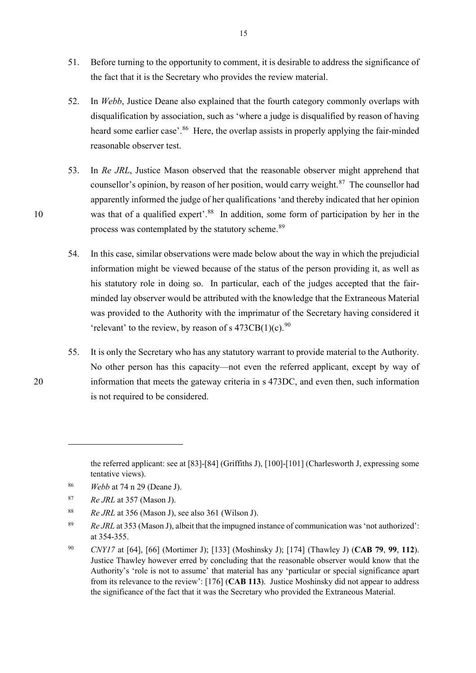- 51. Before turning to the opportunity to comment, it is desirable to address the significance of the fact that it is the Secretary who provides the review material.
- 52. In *Webb*, Justice Deane also explained that the fourth category commonly overlaps with disqualification by association, such as 'where a judge is disqualified by reason of having heard some earlier case'.<sup>86</sup> Here, the overlap assists in properly applying the fair-minded reasonable observer test.
- 53. In *Re JRL*, Justice Mason observed that the reasonable observer might apprehend that counsellor's opinion, by reason of her position, would carry weight. $87$  The counsellor had apparently informed the judge of her qualifications 'and thereby indicated that her opinion 10 was that of a qualified expert'.<sup>[88](#page-14-2)</sup> In addition, some form of participation by her in the process was contemplated by the statutory scheme.<sup>[89](#page-14-3)</sup>
	- 54. In this case, similar observations were made below about the way in which the prejudicial information might be viewed because of the status of the person providing it, as well as his statutory role in doing so. In particular, each of the judges accepted that the fairminded lay observer would be attributed with the knowledge that the Extraneous Material was provided to the Authority with the imprimatur of the Secretary having considered it 'relevant' to the review, by reason of s  $473CB(1)(c)$ .<sup>[90](#page-14-4)</sup>
- 55. It is only the Secretary who has any statutory warrant to provide material to the Authority. No other person has this capacity—not even the referred applicant, except by way of 20 information that meets the gateway criteria in s 473DC, and even then, such information is not required to be considered.

the referred applicant: see at [83]-[84] (Griffiths J), [100]-[101] (Charlesworth J, expressing some tentative views).

<span id="page-14-0"></span><sup>86</sup> *Webb* at 74 n 29 (Deane J).

<span id="page-14-1"></span><sup>87</sup> *Re JRL* at 357 (Mason J).

<span id="page-14-2"></span><sup>88</sup> *Re JRL* at 356 (Mason J), see also 361 (Wilson J).

<span id="page-14-3"></span><sup>89</sup> *Re JRL* at 353 (Mason J), albeit that the impugned instance of communication was 'not authorized': at 354-355.

<span id="page-14-4"></span><sup>90</sup> *CNY17* at [64], [66] (Mortimer J); [133] (Moshinsky J); [174] (Thawley J) (**CAB 79**, **99**, **112**). Justice Thawley however erred by concluding that the reasonable observer would know that the Authority's 'role is not to assume' that material has any 'particular or special significance apart from its relevance to the review': [176] (**CAB 113**). Justice Moshinsky did not appear to address the significance of the fact that it was the Secretary who provided the Extraneous Material.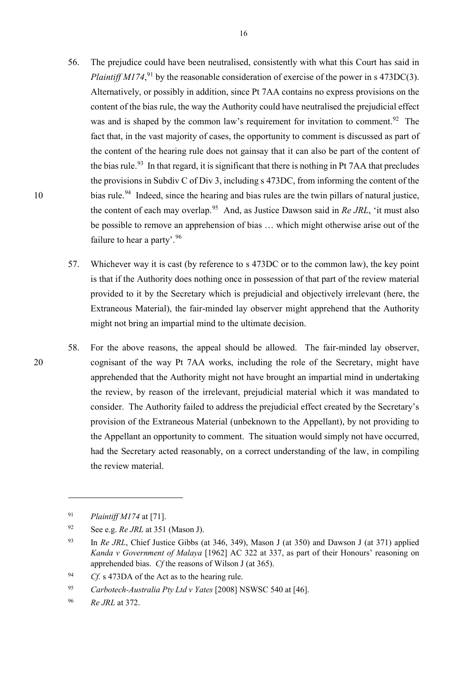- <span id="page-15-0"></span>56. The prejudice could have been neutralised, consistently with what this Court has said in *Plaintiff M174*<sup>, [91](#page-15-2)</sup> by the reasonable consideration of exercise of the power in s 473DC(3). Alternatively, or possibly in addition, since Pt 7AA contains no express provisions on the content of the bias rule, the way the Authority could have neutralised the prejudicial effect was and is shaped by the common law's requirement for invitation to comment.<sup>[92](#page-15-3)</sup> The fact that, in the vast majority of cases, the opportunity to comment is discussed as part of the content of the hearing rule does not gainsay that it can also be part of the content of the bias rule.<sup>93</sup> In that regard, it is significant that there is nothing in Pt 7AA that precludes the provisions in Subdiv C of Div 3, including s 473DC, from informing the content of the 10 bias rule.<sup>[94](#page-15-5)</sup> Indeed, since the hearing and bias rules are the twin pillars of natural justice, the content of each may overlap.[95](#page-15-6) And, as Justice Dawson said in *Re JRL*, 'it must also be possible to remove an apprehension of bias … which might otherwise arise out of the failure to hear a party'.  $96$ 
	- 57. Whichever way it is cast (by reference to s 473DC or to the common law), the key point is that if the Authority does nothing once in possession of that part of the review material provided to it by the Secretary which is prejudicial and objectively irrelevant (here, the Extraneous Material), the fair-minded lay observer might apprehend that the Authority might not bring an impartial mind to the ultimate decision.
- <span id="page-15-1"></span>58. For the above reasons, the appeal should be allowed. The fair-minded lay observer, 20 cognisant of the way Pt 7AA works, including the role of the Secretary, might have apprehended that the Authority might not have brought an impartial mind in undertaking the review, by reason of the irrelevant, prejudicial material which it was mandated to consider. The Authority failed to address the prejudicial effect created by the Secretary's provision of the Extraneous Material (unbeknown to the Appellant), by not providing to the Appellant an opportunity to comment. The situation would simply not have occurred, had the Secretary acted reasonably, on a correct understanding of the law, in compiling the review material.

<span id="page-15-2"></span><sup>91</sup> *Plaintiff M174* at [71].

<span id="page-15-3"></span><sup>92</sup> See e.g. *Re JRL* at 351 (Mason J).

<span id="page-15-4"></span><sup>93</sup> In *Re JRL*, Chief Justice Gibbs (at 346, 349), Mason J (at 350) and Dawson J (at 371) applied *Kanda v Government of Malaya* [1962] AC 322 at 337, as part of their Honours' reasoning on apprehended bias. *Cf* the reasons of Wilson J (at 365).

<span id="page-15-5"></span><sup>94</sup> *Cf.* s 473DA of the Act as to the hearing rule.

<span id="page-15-6"></span><sup>95</sup> *Carbotech-Australia Pty Ltd v Yates* [2008] NSWSC 540 at [46].

<span id="page-15-7"></span><sup>96</sup> *Re JRL* at 372.